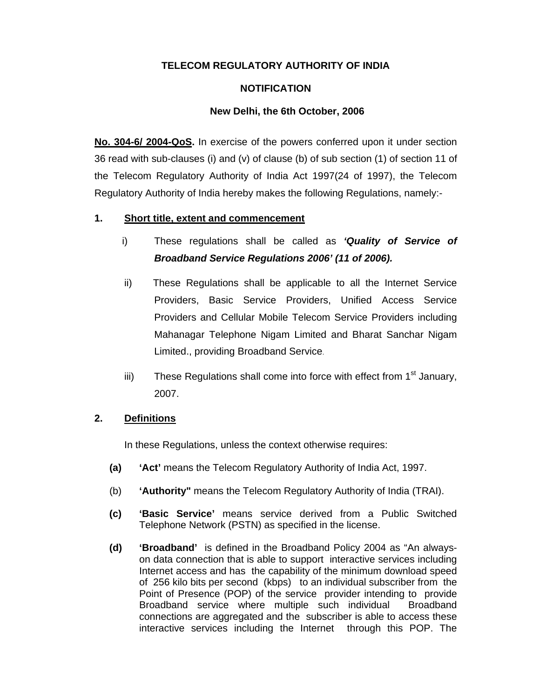# **TELECOM REGULATORY AUTHORITY OF INDIA**

# **NOTIFICATION**

# **New Delhi, the 6th October, 2006**

**No. 304-6/ 2004-QoS.** In exercise of the powers conferred upon it under section 36 read with sub-clauses (i) and (v) of clause (b) of sub section (1) of section 11 of the Telecom Regulatory Authority of India Act 1997(24 of 1997), the Telecom Regulatory Authority of India hereby makes the following Regulations, namely:-

# **1. Short title, extent and commencement**

- i) These regulations shall be called as *'Quality of Service of Broadband Service Regulations 2006' (11 of 2006).*
- ii) These Regulations shall be applicable to all the Internet Service Providers, Basic Service Providers, Unified Access Service Providers and Cellular Mobile Telecom Service Providers including Mahanagar Telephone Nigam Limited and Bharat Sanchar Nigam Limited., providing Broadband Service.
- iii) These Regulations shall come into force with effect from  $1<sup>st</sup>$  January, 2007.

# **2. Definitions**

In these Regulations, unless the context otherwise requires:

- **(a) 'Act'** means the Telecom Regulatory Authority of India Act, 1997.
- (b) **'Authority"** means the Telecom Regulatory Authority of India (TRAI).
- **(c) 'Basic Service'** means service derived from a Public Switched Telephone Network (PSTN) as specified in the license.
- **(d) 'Broadband'** is defined in the Broadband Policy 2004 as "An alwayson data connection that is able to support interactive services including Internet access and has the capability of the minimum download speed of 256 kilo bits per second (kbps) to an individual subscriber from the Point of Presence (POP) of the service provider intending to provide Broadband service where multiple such individual Broadband connections are aggregated and the subscriber is able to access these interactive services including the Internet through this POP. The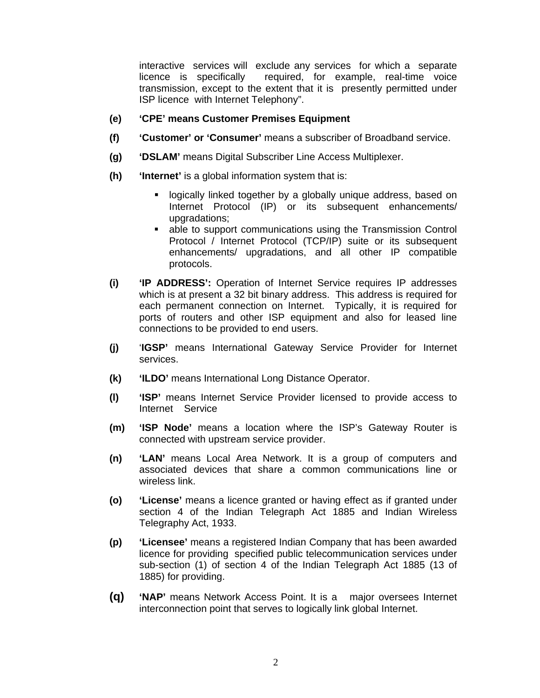interactive services will exclude any services for which a separate licence is specifically required, for example, real-time voice transmission, except to the extent that it is presently permitted under ISP licence with Internet Telephony".

- **(e) 'CPE' means Customer Premises Equipment**
- **(f) 'Customer' or 'Consumer'** means a subscriber of Broadband service.
- **(g) 'DSLAM'** means Digital Subscriber Line Access Multiplexer.
- **(h) 'Internet'** is a global information system that is:
	- **-** logically linked together by a globally unique address, based on Internet Protocol (IP) or its subsequent enhancements/ upgradations;
	- able to support communications using the Transmission Control Protocol / Internet Protocol (TCP/IP) suite or its subsequent enhancements/ upgradations, and all other IP compatible protocols.
- **(i) 'IP ADDRESS':** Operation of Internet Service requires IP addresses which is at present a 32 bit binary address. This address is required for each permanent connection on Internet. Typically, it is required for ports of routers and other ISP equipment and also for leased line connections to be provided to end users.
- **(j)** '**IGSP'** means International Gateway Service Provider for Internet services.
- **(k) 'ILDO'** means International Long Distance Operator.
- **(l) 'ISP'** means Internet Service Provider licensed to provide access to Internet Service
- **(m) 'ISP Node'** means a location where the ISP's Gateway Router is connected with upstream service provider.
- **(n) 'LAN'** means Local Area Network. It is a group of computers and associated devices that share a common communications line or wireless link.
- **(o) 'License'** means a licence granted or having effect as if granted under section 4 of the Indian Telegraph Act 1885 and Indian Wireless Telegraphy Act, 1933.
- **(p) 'Licensee'** means a registered Indian Company that has been awarded licence for providing specified public telecommunication services under sub-section (1) of section 4 of the Indian Telegraph Act 1885 (13 of 1885) for providing.
- **(q) 'NAP'** means Network Access Point. It is a major oversees Internet interconnection point that serves to logically link global Internet.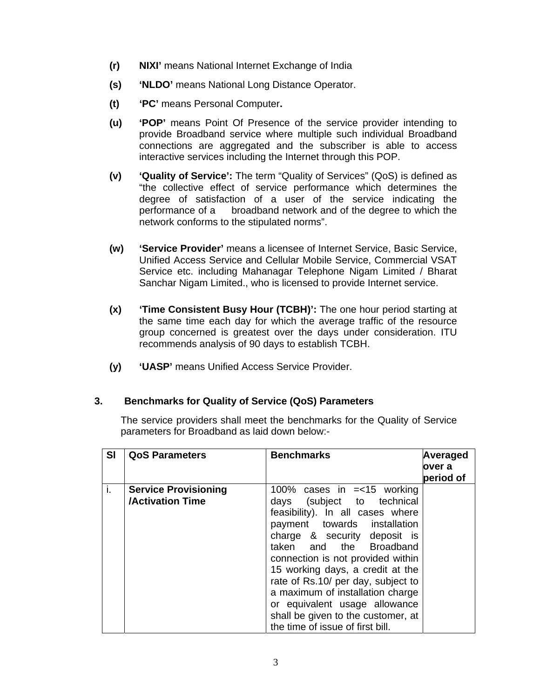- **(r) NIXI'** means National Internet Exchange of India
- **(s) 'NLDO'** means National Long Distance Operator.
- **(t) 'PC'** means Personal Computer**.**
- **(u) 'POP'** means Point Of Presence of the service provider intending to provide Broadband service where multiple such individual Broadband connections are aggregated and the subscriber is able to access interactive services including the Internet through this POP.
- **(v) 'Quality of Service':** The term "Quality of Services" (QoS) is defined as "the collective effect of service performance which determines the degree of satisfaction of a user of the service indicating the performance of a broadband network and of the degree to which the network conforms to the stipulated norms".
- **(w) 'Service Provider'** means a licensee of Internet Service, Basic Service, Unified Access Service and Cellular Mobile Service, Commercial VSAT Service etc. including Mahanagar Telephone Nigam Limited / Bharat Sanchar Nigam Limited., who is licensed to provide Internet service.
- **(x) 'Time Consistent Busy Hour (TCBH)':** The one hour period starting at the same time each day for which the average traffic of the resource group concerned is greatest over the days under consideration. ITU recommends analysis of 90 days to establish TCBH.
- **(y) 'UASP'** means Unified Access Service Provider.

# **3. Benchmarks for Quality of Service (QoS) Parameters**

The service providers shall meet the benchmarks for the Quality of Service parameters for Broadband as laid down below:-

| SI | <b>QoS Parameters</b>                                  | <b>Benchmarks</b>                                                                                                                                                                                                                                                                                                                                                                                                                                       | Averaged<br>over a<br>period of |
|----|--------------------------------------------------------|---------------------------------------------------------------------------------------------------------------------------------------------------------------------------------------------------------------------------------------------------------------------------------------------------------------------------------------------------------------------------------------------------------------------------------------------------------|---------------------------------|
| i. | <b>Service Provisioning</b><br><b>/Activation Time</b> | 100% cases in = < 15 working<br>days (subject to technical<br>feasibility). In all cases where<br>payment towards installation<br>charge & security deposit is<br>taken and the Broadband<br>connection is not provided within<br>15 working days, a credit at the<br>rate of Rs.10/ per day, subject to<br>a maximum of installation charge<br>or equivalent usage allowance<br>shall be given to the customer, at<br>the time of issue of first bill. |                                 |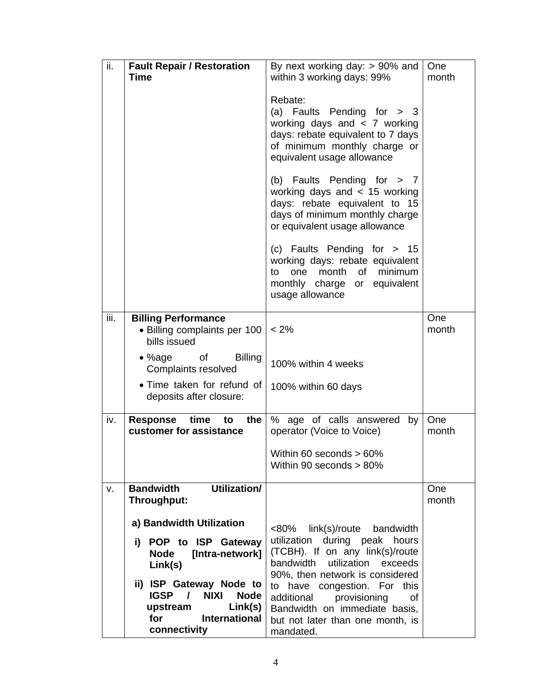| ii.  | <b>Fault Repair / Restoration</b><br><b>Time</b>                                                                                                                                                                                                       | By next working day: $> 90\%$ and<br>within 3 working days: 99%                                                                                                                                                                                                                                                                           | <b>One</b><br>month |
|------|--------------------------------------------------------------------------------------------------------------------------------------------------------------------------------------------------------------------------------------------------------|-------------------------------------------------------------------------------------------------------------------------------------------------------------------------------------------------------------------------------------------------------------------------------------------------------------------------------------------|---------------------|
|      |                                                                                                                                                                                                                                                        | Rebate:<br>(a) Faults Pending for $>$ 3<br>working days and $\lt$ 7 working<br>days: rebate equivalent to 7 days<br>of minimum monthly charge or<br>equivalent usage allowance                                                                                                                                                            |                     |
|      |                                                                                                                                                                                                                                                        | (b) Faults Pending for $> 7$<br>working days and $< 15$ working<br>days: rebate equivalent to 15<br>days of minimum monthly charge<br>or equivalent usage allowance                                                                                                                                                                       |                     |
|      |                                                                                                                                                                                                                                                        | (c) Faults Pending for > 15<br>working days: rebate equivalent<br>month of minimum<br>one<br>to<br>monthly charge or equivalent<br>usage allowance                                                                                                                                                                                        |                     |
| iii. | <b>Billing Performance</b><br>• Billing complaints per 100<br>bills issued                                                                                                                                                                             | $< 2\%$                                                                                                                                                                                                                                                                                                                                   | One<br>month        |
|      | • %age of<br><b>Billing</b><br>Complaints resolved                                                                                                                                                                                                     | 100% within 4 weeks                                                                                                                                                                                                                                                                                                                       |                     |
|      | • Time taken for refund of<br>deposits after closure:                                                                                                                                                                                                  | 100% within 60 days                                                                                                                                                                                                                                                                                                                       |                     |
| iv.  | Response time<br>the $ $<br>to<br>customer for assistance                                                                                                                                                                                              | % age of calls answered by<br>operator (Voice to Voice)                                                                                                                                                                                                                                                                                   | One<br>month        |
|      |                                                                                                                                                                                                                                                        | Within 60 seconds > 60%<br>Within 90 seconds > 80%                                                                                                                                                                                                                                                                                        |                     |
| v.   | Utilization/<br><b>Bandwidth</b><br>Throughput:                                                                                                                                                                                                        |                                                                                                                                                                                                                                                                                                                                           | One<br>month        |
|      | a) Bandwidth Utilization<br>i) POP to ISP Gateway<br><b>Node</b><br>[Intra-network]<br>Link(s)<br>ii) ISP Gateway Node to<br><b>IGSP</b><br><b>NIXI</b><br><b>Node</b><br>$\mathcal{L}$<br>Link(s)<br>upstream<br>International<br>for<br>connectivity | <80%<br>link(s)/route<br>bandwidth<br>during peak<br>utilization<br>hours<br>(TCBH). If on any link(s)/route<br>bandwidth utilization<br>exceeds<br>90%, then network is considered<br>to have congestion. For this<br>additional<br>provisioning<br>οf<br>Bandwidth on immediate basis,<br>but not later than one month, is<br>mandated. |                     |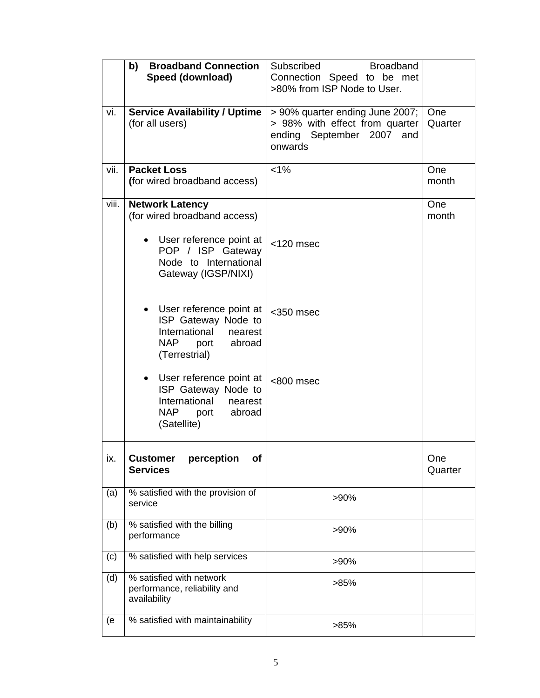|       | <b>Broadband Connection</b><br>b)<br>Speed (download)                                                                                                    | Subscribed<br><b>Broadband</b><br>Connection Speed to be met<br>>80% from ISP Node to User.                  |                |
|-------|----------------------------------------------------------------------------------------------------------------------------------------------------------|--------------------------------------------------------------------------------------------------------------|----------------|
| vi.   | <b>Service Availability / Uptime</b><br>(for all users)                                                                                                  | > 90% quarter ending June 2007;<br>> 98% with effect from quarter<br>ending September 2007<br>and<br>onwards | One<br>Quarter |
| vii.  | <b>Packet Loss</b><br>(for wired broadband access)                                                                                                       | $< 1\%$                                                                                                      | One<br>month   |
| viii. | <b>Network Latency</b><br>(for wired broadband access)<br>• User reference point at<br>POP / ISP Gateway<br>Node to International<br>Gateway (IGSP/NIXI) | $<$ 120 msec                                                                                                 | One<br>month   |
|       | User reference point at<br>ISP Gateway Node to<br>International nearest<br>NAP<br>port<br>abroad<br>(Terrestrial)                                        | $<$ 350 msec                                                                                                 |                |
|       | User reference point at<br>$\bullet$<br>ISP Gateway Node to<br>International<br>nearest<br>abroad<br>NAP.<br>port<br>(Satellite)                         | <800 msec                                                                                                    |                |
| ix.   | perception<br><b>Customer</b><br>Οf<br><b>Services</b>                                                                                                   |                                                                                                              | One<br>Quarter |
| (a)   | % satisfied with the provision of<br>service                                                                                                             | >90%                                                                                                         |                |
| (b)   | % satisfied with the billing<br>performance                                                                                                              | >90%                                                                                                         |                |
| (c)   | % satisfied with help services                                                                                                                           | >90%                                                                                                         |                |
| (d)   | % satisfied with network<br>performance, reliability and<br>availability                                                                                 | >85%                                                                                                         |                |
| (e    | % satisfied with maintainability                                                                                                                         | >85%                                                                                                         |                |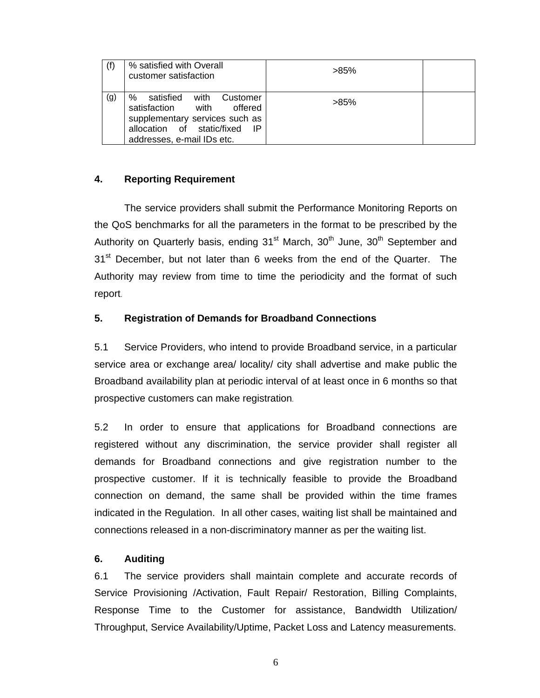|     | % satisfied with Overall<br>customer satisfaction                                                                                                                   | $>85\%$ |  |
|-----|---------------------------------------------------------------------------------------------------------------------------------------------------------------------|---------|--|
| (g) | with<br>℅<br>satisfied<br>Customer<br>satisfaction<br>with<br>offered<br>supplementary services such as<br>allocation of static/fixed<br>addresses, e-mail IDs etc. | $>85\%$ |  |

# **4. Reporting Requirement**

 The service providers shall submit the Performance Monitoring Reports on the QoS benchmarks for all the parameters in the format to be prescribed by the Authority on Quarterly basis, ending  $31<sup>st</sup>$  March,  $30<sup>th</sup>$  June,  $30<sup>th</sup>$  September and 31<sup>st</sup> December, but not later than 6 weeks from the end of the Quarter. The Authority may review from time to time the periodicity and the format of such report.

# **5. Registration of Demands for Broadband Connections**

5.1 Service Providers, who intend to provide Broadband service, in a particular service area or exchange area/ locality/ city shall advertise and make public the Broadband availability plan at periodic interval of at least once in 6 months so that prospective customers can make registration.

5.2 In order to ensure that applications for Broadband connections are registered without any discrimination, the service provider shall register all demands for Broadband connections and give registration number to the prospective customer. If it is technically feasible to provide the Broadband connection on demand, the same shall be provided within the time frames indicated in the Regulation. In all other cases, waiting list shall be maintained and connections released in a non-discriminatory manner as per the waiting list.

# **6. Auditing**

6.1 The service providers shall maintain complete and accurate records of Service Provisioning /Activation, Fault Repair/ Restoration, Billing Complaints, Response Time to the Customer for assistance, Bandwidth Utilization/ Throughput, Service Availability/Uptime, Packet Loss and Latency measurements.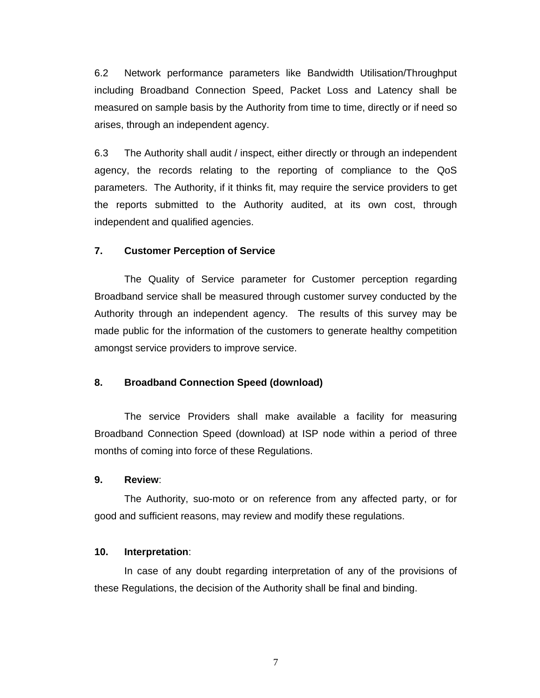6.2 Network performance parameters like Bandwidth Utilisation/Throughput including Broadband Connection Speed, Packet Loss and Latency shall be measured on sample basis by the Authority from time to time, directly or if need so arises, through an independent agency.

6.3 The Authority shall audit / inspect, either directly or through an independent agency, the records relating to the reporting of compliance to the QoS parameters. The Authority, if it thinks fit, may require the service providers to get the reports submitted to the Authority audited, at its own cost, through independent and qualified agencies.

### **7. Customer Perception of Service**

 The Quality of Service parameter for Customer perception regarding Broadband service shall be measured through customer survey conducted by the Authority through an independent agency. The results of this survey may be made public for the information of the customers to generate healthy competition amongst service providers to improve service.

### **8. Broadband Connection Speed (download)**

 The service Providers shall make available a facility for measuring Broadband Connection Speed (download) at ISP node within a period of three months of coming into force of these Regulations.

### **9. Review**:

The Authority, suo-moto or on reference from any affected party, or for good and sufficient reasons, may review and modify these regulations.

#### **10. Interpretation**:

 In case of any doubt regarding interpretation of any of the provisions of these Regulations, the decision of the Authority shall be final and binding.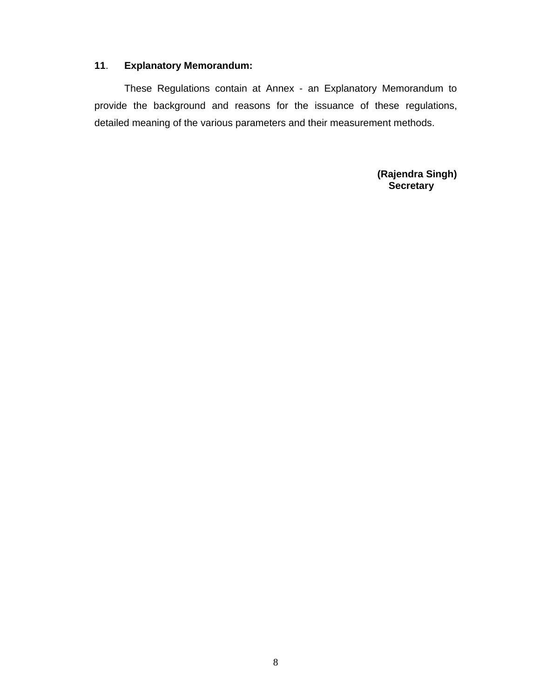# **11**. **Explanatory Memorandum:**

These Regulations contain at Annex - an Explanatory Memorandum to provide the background and reasons for the issuance of these regulations, detailed meaning of the various parameters and their measurement methods.

> **(Rajendra Singh) Secretary**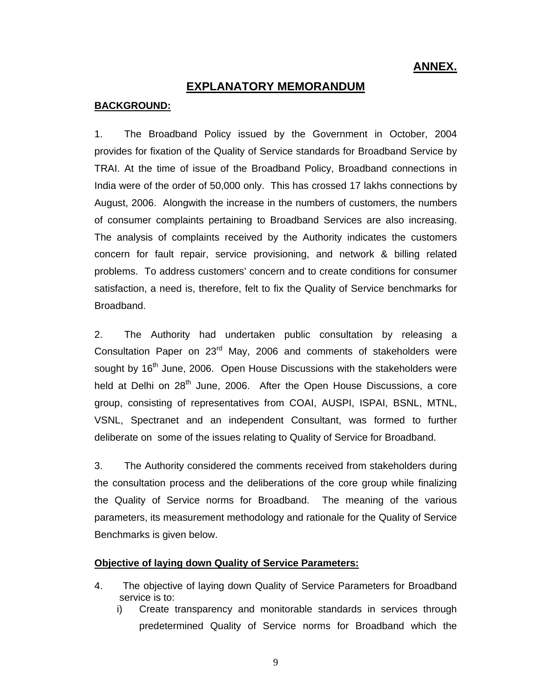# **ANNEX.**

# **EXPLANATORY MEMORANDUM**

### **BACKGROUND:**

1. The Broadband Policy issued by the Government in October, 2004 provides for fixation of the Quality of Service standards for Broadband Service by TRAI. At the time of issue of the Broadband Policy, Broadband connections in India were of the order of 50,000 only. This has crossed 17 lakhs connections by August, 2006. Alongwith the increase in the numbers of customers, the numbers of consumer complaints pertaining to Broadband Services are also increasing. The analysis of complaints received by the Authority indicates the customers concern for fault repair, service provisioning, and network & billing related problems. To address customers' concern and to create conditions for consumer satisfaction, a need is, therefore, felt to fix the Quality of Service benchmarks for Broadband.

2. The Authority had undertaken public consultation by releasing a Consultation Paper on  $23<sup>rd</sup>$  May, 2006 and comments of stakeholders were sought by 16<sup>th</sup> June, 2006. Open House Discussions with the stakeholders were held at Delhi on 28<sup>th</sup> June, 2006. After the Open House Discussions, a core group, consisting of representatives from COAI, AUSPI, ISPAI, BSNL, MTNL, VSNL, Spectranet and an independent Consultant, was formed to further deliberate on some of the issues relating to Quality of Service for Broadband.

3. The Authority considered the comments received from stakeholders during the consultation process and the deliberations of the core group while finalizing the Quality of Service norms for Broadband. The meaning of the various parameters, its measurement methodology and rationale for the Quality of Service Benchmarks is given below.

#### **Objective of laying down Quality of Service Parameters:**

- 4. The objective of laying down Quality of Service Parameters for Broadband service is to:
	- i) Create transparency and monitorable standards in services through predetermined Quality of Service norms for Broadband which the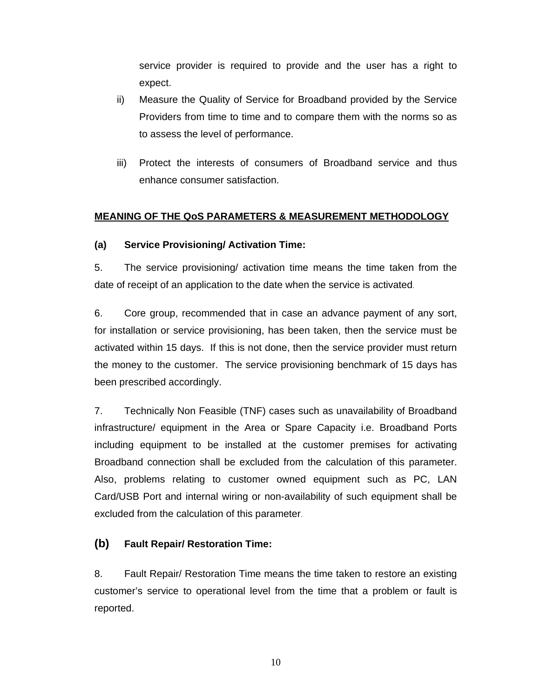service provider is required to provide and the user has a right to expect.

- ii) Measure the Quality of Service for Broadband provided by the Service Providers from time to time and to compare them with the norms so as to assess the level of performance.
- iii) Protect the interests of consumers of Broadband service and thus enhance consumer satisfaction.

# **MEANING OF THE QoS PARAMETERS & MEASUREMENT METHODOLOGY**

# **(a) Service Provisioning/ Activation Time:**

5. The service provisioning/ activation time means the time taken from the date of receipt of an application to the date when the service is activated.

6. Core group, recommended that in case an advance payment of any sort, for installation or service provisioning, has been taken, then the service must be activated within 15 days. If this is not done, then the service provider must return the money to the customer. The service provisioning benchmark of 15 days has been prescribed accordingly.

7. Technically Non Feasible (TNF) cases such as unavailability of Broadband infrastructure/ equipment in the Area or Spare Capacity i.e. Broadband Ports including equipment to be installed at the customer premises for activating Broadband connection shall be excluded from the calculation of this parameter. Also, problems relating to customer owned equipment such as PC, LAN Card/USB Port and internal wiring or non-availability of such equipment shall be excluded from the calculation of this parameter.

# **(b) Fault Repair/ Restoration Time:**

8. Fault Repair/ Restoration Time means the time taken to restore an existing customer's service to operational level from the time that a problem or fault is reported.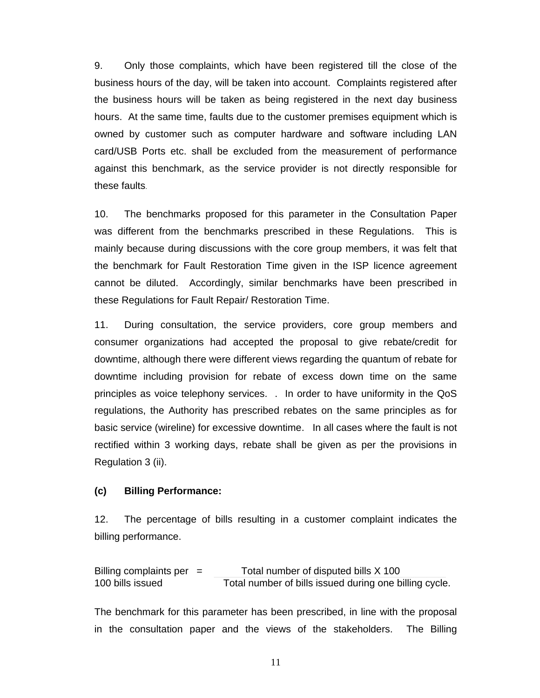9. Only those complaints, which have been registered till the close of the business hours of the day, will be taken into account. Complaints registered after the business hours will be taken as being registered in the next day business hours. At the same time, faults due to the customer premises equipment which is owned by customer such as computer hardware and software including LAN card/USB Ports etc. shall be excluded from the measurement of performance against this benchmark, as the service provider is not directly responsible for these faults.

10. The benchmarks proposed for this parameter in the Consultation Paper was different from the benchmarks prescribed in these Regulations. This is mainly because during discussions with the core group members, it was felt that the benchmark for Fault Restoration Time given in the ISP licence agreement cannot be diluted. Accordingly, similar benchmarks have been prescribed in these Regulations for Fault Repair/ Restoration Time.

11. During consultation, the service providers, core group members and consumer organizations had accepted the proposal to give rebate/credit for downtime, although there were different views regarding the quantum of rebate for downtime including provision for rebate of excess down time on the same principles as voice telephony services. . In order to have uniformity in the QoS regulations, the Authority has prescribed rebates on the same principles as for basic service (wireline) for excessive downtime. In all cases where the fault is not rectified within 3 working days, rebate shall be given as per the provisions in Regulation 3 (ii).

#### **(c) Billing Performance:**

12. The percentage of bills resulting in a customer complaint indicates the billing performance.

Billing complaints per  $=$  Total number of disputed bills  $\times$  100 100 bills issued Total number of bills issued during one billing cycle.

The benchmark for this parameter has been prescribed, in line with the proposal in the consultation paper and the views of the stakeholders. The Billing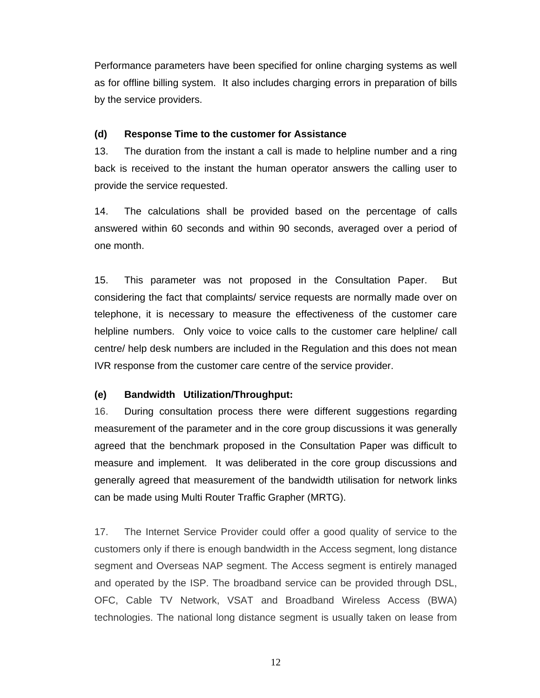Performance parameters have been specified for online charging systems as well as for offline billing system. It also includes charging errors in preparation of bills by the service providers.

### **(d) Response Time to the customer for Assistance**

13. The duration from the instant a call is made to helpline number and a ring back is received to the instant the human operator answers the calling user to provide the service requested.

14. The calculations shall be provided based on the percentage of calls answered within 60 seconds and within 90 seconds, averaged over a period of one month.

15. This parameter was not proposed in the Consultation Paper. But considering the fact that complaints/ service requests are normally made over on telephone, it is necessary to measure the effectiveness of the customer care helpline numbers. Only voice to voice calls to the customer care helpline/ call centre/ help desk numbers are included in the Regulation and this does not mean IVR response from the customer care centre of the service provider.

# **(e) Bandwidth Utilization/Throughput:**

16. During consultation process there were different suggestions regarding measurement of the parameter and in the core group discussions it was generally agreed that the benchmark proposed in the Consultation Paper was difficult to measure and implement. It was deliberated in the core group discussions and generally agreed that measurement of the bandwidth utilisation for network links can be made using Multi Router Traffic Grapher (MRTG).

17. The Internet Service Provider could offer a good quality of service to the customers only if there is enough bandwidth in the Access segment, long distance segment and Overseas NAP segment. The Access segment is entirely managed and operated by the ISP. The broadband service can be provided through DSL, OFC, Cable TV Network, VSAT and Broadband Wireless Access (BWA) technologies. The national long distance segment is usually taken on lease from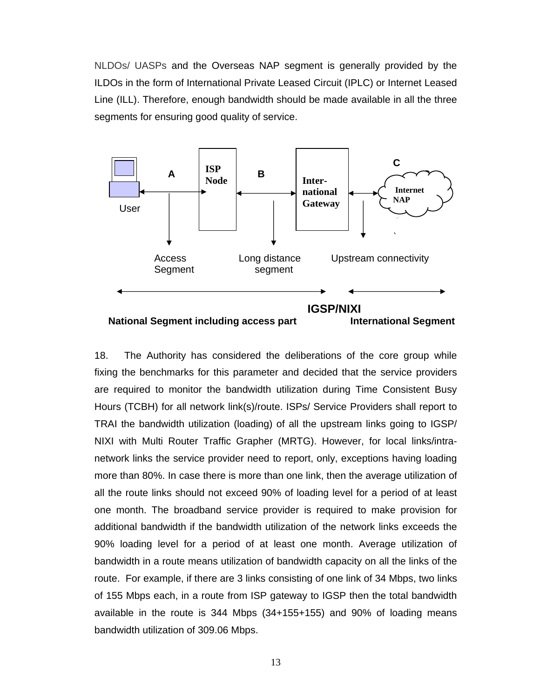NLDOs/ UASPs and the Overseas NAP segment is generally provided by the ILDOs in the form of International Private Leased Circuit (IPLC) or Internet Leased Line (ILL). Therefore, enough bandwidth should be made available in all the three segments for ensuring good quality of service.



18. The Authority has considered the deliberations of the core group while fixing the benchmarks for this parameter and decided that the service providers are required to monitor the bandwidth utilization during Time Consistent Busy Hours (TCBH) for all network link(s)/route. ISPs/ Service Providers shall report to TRAI the bandwidth utilization (loading) of all the upstream links going to IGSP/ NIXI with Multi Router Traffic Grapher (MRTG). However, for local links/intranetwork links the service provider need to report, only, exceptions having loading more than 80%. In case there is more than one link, then the average utilization of all the route links should not exceed 90% of loading level for a period of at least one month. The broadband service provider is required to make provision for additional bandwidth if the bandwidth utilization of the network links exceeds the 90% loading level for a period of at least one month. Average utilization of bandwidth in a route means utilization of bandwidth capacity on all the links of the route. For example, if there are 3 links consisting of one link of 34 Mbps, two links of 155 Mbps each, in a route from ISP gateway to IGSP then the total bandwidth available in the route is 344 Mbps (34+155+155) and 90% of loading means bandwidth utilization of 309.06 Mbps.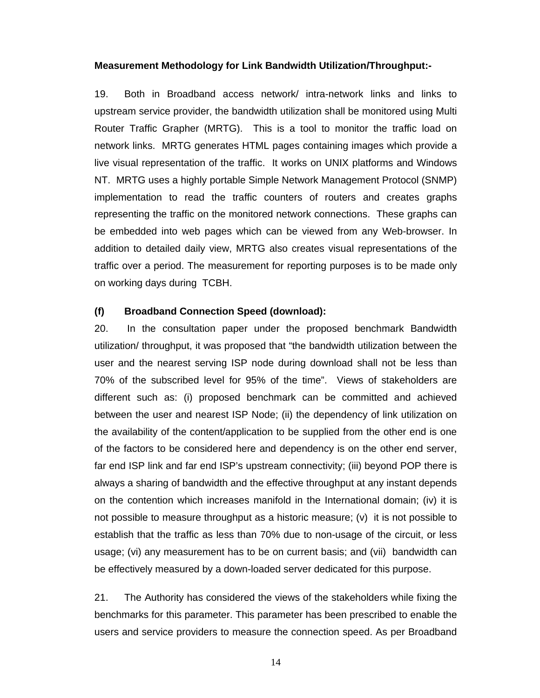#### **Measurement Methodology for Link Bandwidth Utilization/Throughput:-**

19. Both in Broadband access network/ intra-network links and links to upstream service provider, the bandwidth utilization shall be monitored using Multi Router Traffic Grapher (MRTG). This is a tool to monitor the traffic load on network links. MRTG generates HTML pages containing images which provide a live visual representation of the traffic. It works on UNIX platforms and Windows NT. MRTG uses a highly portable Simple Network Management Protocol (SNMP) implementation to read the traffic counters of routers and creates graphs representing the traffic on the monitored network connections. These graphs can be embedded into web pages which can be viewed from any Web-browser. In addition to detailed daily view, MRTG also creates visual representations of the traffic over a period. The measurement for reporting purposes is to be made only on working days during TCBH.

### **(f) Broadband Connection Speed (download):**

20. In the consultation paper under the proposed benchmark Bandwidth utilization/ throughput, it was proposed that "the bandwidth utilization between the user and the nearest serving ISP node during download shall not be less than 70% of the subscribed level for 95% of the time". Views of stakeholders are different such as: (i) proposed benchmark can be committed and achieved between the user and nearest ISP Node; (ii) the dependency of link utilization on the availability of the content/application to be supplied from the other end is one of the factors to be considered here and dependency is on the other end server, far end ISP link and far end ISP's upstream connectivity; (iii) beyond POP there is always a sharing of bandwidth and the effective throughput at any instant depends on the contention which increases manifold in the International domain; (iv) it is not possible to measure throughput as a historic measure; (v) it is not possible to establish that the traffic as less than 70% due to non-usage of the circuit, or less usage; (vi) any measurement has to be on current basis; and (vii) bandwidth can be effectively measured by a down-loaded server dedicated for this purpose.

21. The Authority has considered the views of the stakeholders while fixing the benchmarks for this parameter. This parameter has been prescribed to enable the users and service providers to measure the connection speed. As per Broadband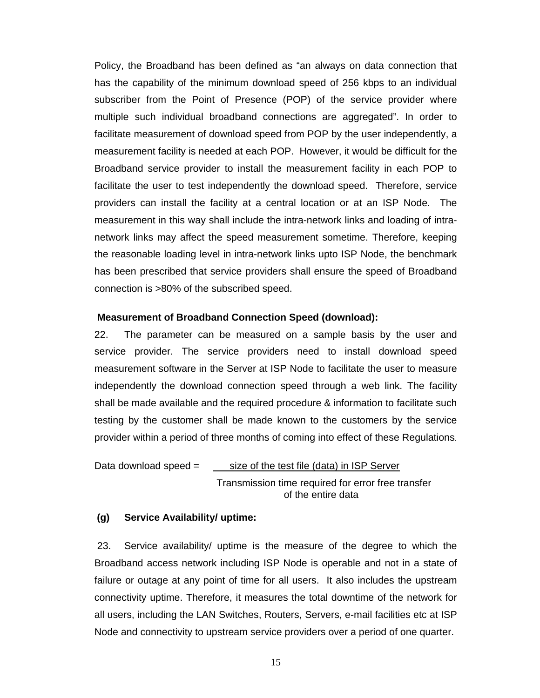Policy, the Broadband has been defined as "an always on data connection that has the capability of the minimum download speed of 256 kbps to an individual subscriber from the Point of Presence (POP) of the service provider where multiple such individual broadband connections are aggregated". In order to facilitate measurement of download speed from POP by the user independently, a measurement facility is needed at each POP. However, it would be difficult for the Broadband service provider to install the measurement facility in each POP to facilitate the user to test independently the download speed. Therefore, service providers can install the facility at a central location or at an ISP Node. The measurement in this way shall include the intra-network links and loading of intranetwork links may affect the speed measurement sometime. Therefore, keeping the reasonable loading level in intra-network links upto ISP Node, the benchmark has been prescribed that service providers shall ensure the speed of Broadband connection is >80% of the subscribed speed.

#### **Measurement of Broadband Connection Speed (download):**

22. The parameter can be measured on a sample basis by the user and service provider. The service providers need to install download speed measurement software in the Server at ISP Node to facilitate the user to measure independently the download connection speed through a web link. The facility shall be made available and the required procedure & information to facilitate such testing by the customer shall be made known to the customers by the service provider within a period of three months of coming into effect of these Regulations.

Data download speed  $=$  size of the test file (data) in ISP Server Transmission time required for error free transfer of the entire data

#### **(g) Service Availability/ uptime:**

 23. Service availability/ uptime is the measure of the degree to which the Broadband access network including ISP Node is operable and not in a state of failure or outage at any point of time for all users. It also includes the upstream connectivity uptime. Therefore, it measures the total downtime of the network for all users, including the LAN Switches, Routers, Servers, e-mail facilities etc at ISP Node and connectivity to upstream service providers over a period of one quarter.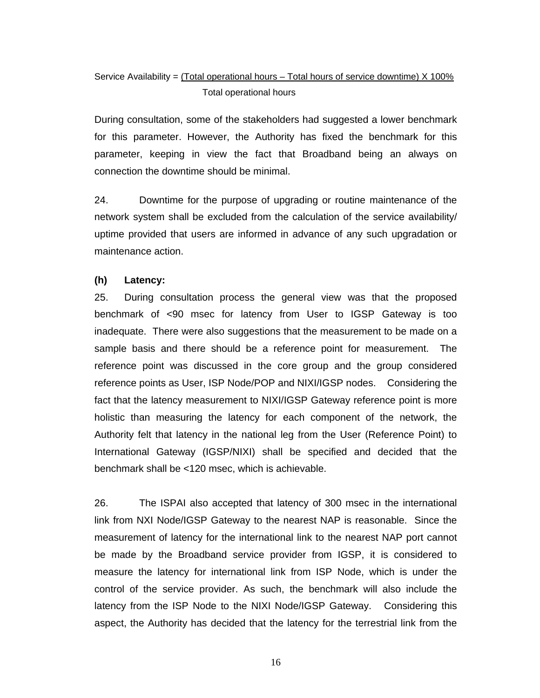# Service Availability =  $(Total$  operational hours – Total hours of service downtime)  $X$  100% Total operational hours

During consultation, some of the stakeholders had suggested a lower benchmark for this parameter. However, the Authority has fixed the benchmark for this parameter, keeping in view the fact that Broadband being an always on connection the downtime should be minimal.

24. Downtime for the purpose of upgrading or routine maintenance of the network system shall be excluded from the calculation of the service availability/ uptime provided that users are informed in advance of any such upgradation or maintenance action.

# **(h) Latency:**

25. During consultation process the general view was that the proposed benchmark of <90 msec for latency from User to IGSP Gateway is too inadequate. There were also suggestions that the measurement to be made on a sample basis and there should be a reference point for measurement. The reference point was discussed in the core group and the group considered reference points as User, ISP Node/POP and NIXI/IGSP nodes. Considering the fact that the latency measurement to NIXI/IGSP Gateway reference point is more holistic than measuring the latency for each component of the network, the Authority felt that latency in the national leg from the User (Reference Point) to International Gateway (IGSP/NIXI) shall be specified and decided that the benchmark shall be <120 msec, which is achievable.

26. The ISPAI also accepted that latency of 300 msec in the international link from NXI Node/IGSP Gateway to the nearest NAP is reasonable. Since the measurement of latency for the international link to the nearest NAP port cannot be made by the Broadband service provider from IGSP, it is considered to measure the latency for international link from ISP Node, which is under the control of the service provider. As such, the benchmark will also include the latency from the ISP Node to the NIXI Node/IGSP Gateway. Considering this aspect, the Authority has decided that the latency for the terrestrial link from the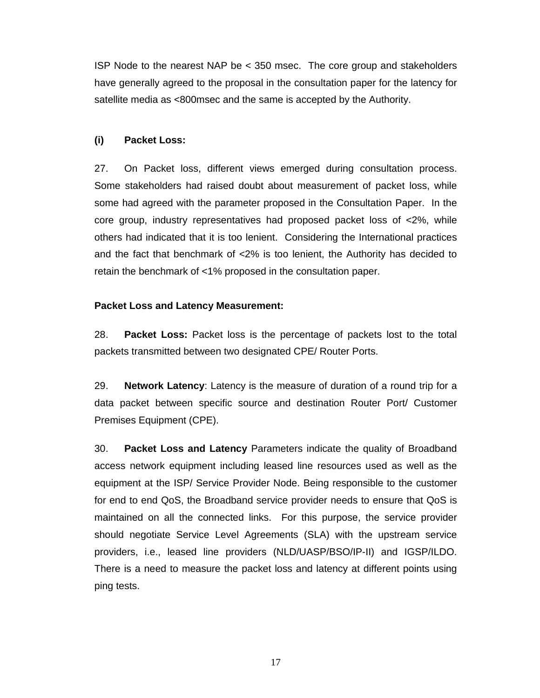ISP Node to the nearest NAP be < 350 msec. The core group and stakeholders have generally agreed to the proposal in the consultation paper for the latency for satellite media as <800msec and the same is accepted by the Authority.

# **(i) Packet Loss:**

27. On Packet loss, different views emerged during consultation process. Some stakeholders had raised doubt about measurement of packet loss, while some had agreed with the parameter proposed in the Consultation Paper. In the core group, industry representatives had proposed packet loss of <2%, while others had indicated that it is too lenient. Considering the International practices and the fact that benchmark of <2% is too lenient, the Authority has decided to retain the benchmark of <1% proposed in the consultation paper.

### **Packet Loss and Latency Measurement:**

28. **Packet Loss:** Packet loss is the percentage of packets lost to the total packets transmitted between two designated CPE/ Router Ports.

29. **Network Latency**: Latency is the measure of duration of a round trip for a data packet between specific source and destination Router Port/ Customer Premises Equipment (CPE).

30. **Packet Loss and Latency** Parameters indicate the quality of Broadband access network equipment including leased line resources used as well as the equipment at the ISP/ Service Provider Node. Being responsible to the customer for end to end QoS, the Broadband service provider needs to ensure that QoS is maintained on all the connected links. For this purpose, the service provider should negotiate Service Level Agreements (SLA) with the upstream service providers, i.e., leased line providers (NLD/UASP/BSO/IP-II) and IGSP/ILDO. There is a need to measure the packet loss and latency at different points using ping tests.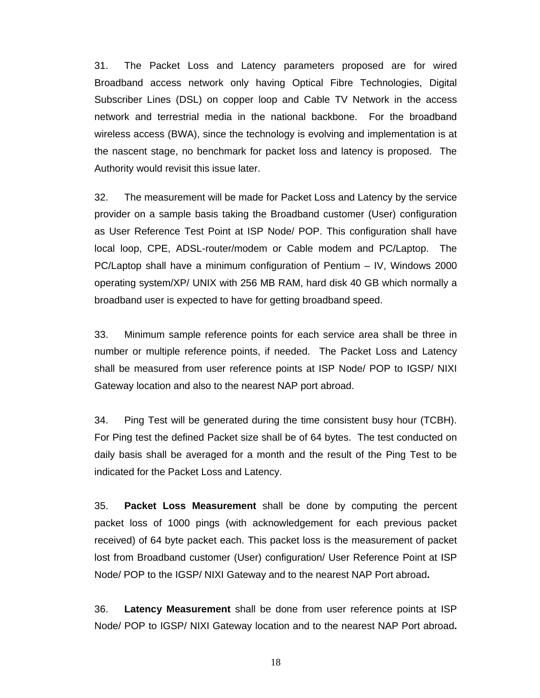31. The Packet Loss and Latency parameters proposed are for wired Broadband access network only having Optical Fibre Technologies, Digital Subscriber Lines (DSL) on copper loop and Cable TV Network in the access network and terrestrial media in the national backbone. For the broadband wireless access (BWA), since the technology is evolving and implementation is at the nascent stage, no benchmark for packet loss and latency is proposed. The Authority would revisit this issue later.

32. The measurement will be made for Packet Loss and Latency by the service provider on a sample basis taking the Broadband customer (User) configuration as User Reference Test Point at ISP Node/ POP. This configuration shall have local loop, CPE, ADSL-router/modem or Cable modem and PC/Laptop. The PC/Laptop shall have a minimum configuration of Pentium – IV, Windows 2000 operating system/XP/ UNIX with 256 MB RAM, hard disk 40 GB which normally a broadband user is expected to have for getting broadband speed.

33. Minimum sample reference points for each service area shall be three in number or multiple reference points, if needed. The Packet Loss and Latency shall be measured from user reference points at ISP Node/ POP to IGSP/ NIXI Gateway location and also to the nearest NAP port abroad.

34. Ping Test will be generated during the time consistent busy hour (TCBH). For Ping test the defined Packet size shall be of 64 bytes. The test conducted on daily basis shall be averaged for a month and the result of the Ping Test to be indicated for the Packet Loss and Latency.

35. **Packet Loss Measurement** shall be done by computing the percent packet loss of 1000 pings (with acknowledgement for each previous packet received) of 64 byte packet each. This packet loss is the measurement of packet lost from Broadband customer (User) configuration/ User Reference Point at ISP Node/ POP to the IGSP/ NIXI Gateway and to the nearest NAP Port abroad**.** 

36. **Latency Measurement** shall be done from user reference points at ISP Node/ POP to IGSP/ NIXI Gateway location and to the nearest NAP Port abroad**.**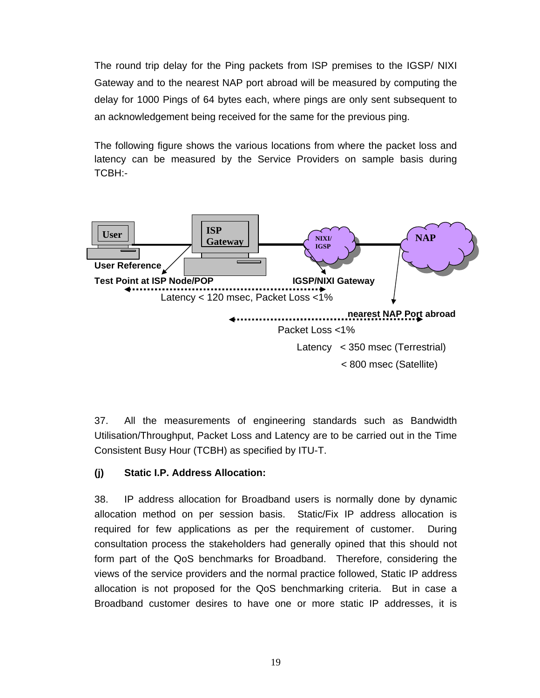The round trip delay for the Ping packets from ISP premises to the IGSP/ NIXI Gateway and to the nearest NAP port abroad will be measured by computing the delay for 1000 Pings of 64 bytes each, where pings are only sent subsequent to an acknowledgement being received for the same for the previous ping.

The following figure shows the various locations from where the packet loss and latency can be measured by the Service Providers on sample basis during TCBH:-



37. All the measurements of engineering standards such as Bandwidth Utilisation/Throughput, Packet Loss and Latency are to be carried out in the Time Consistent Busy Hour (TCBH) as specified by ITU-T.

# **(j) Static I.P. Address Allocation:**

38. IP address allocation for Broadband users is normally done by dynamic allocation method on per session basis. Static/Fix IP address allocation is required for few applications as per the requirement of customer. During consultation process the stakeholders had generally opined that this should not form part of the QoS benchmarks for Broadband. Therefore, considering the views of the service providers and the normal practice followed, Static IP address allocation is not proposed for the QoS benchmarking criteria. But in case a Broadband customer desires to have one or more static IP addresses, it is